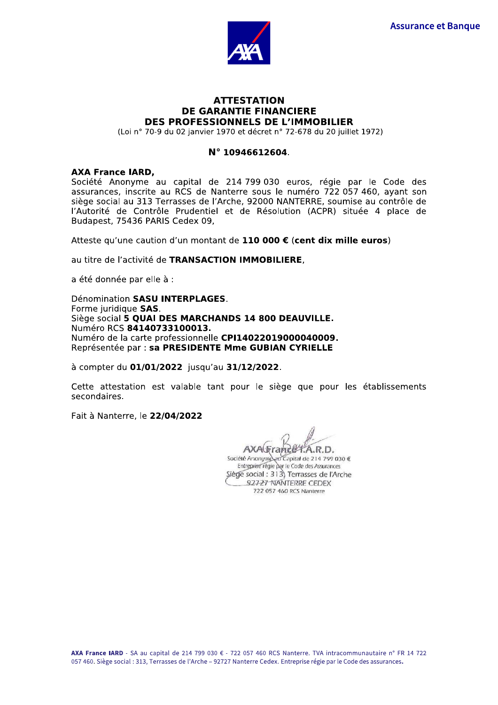

# **ATTESTATION DE GARANTIE FINANCIERE** DES PROFESSIONNELS DE L'IMMOBILIER

(Loi nº 70-9 du 02 janvier 1970 et décret nº 72-678 du 20 juillet 1972)

# N° 10946612604.

### **AXA France IARD.**

Société Anonyme au capital de 214 799 030 euros, régie par le Code des assurances, inscrite au RCS de Nanterre sous le numéro 722 057 460, ayant son siège social au 313 Terrasses de l'Arche, 92000 NANTERRE, soumise au contrôle de l'Autorité de Contrôle Prudentiel et de Résolution (ACPR) située 4 place de Budapest, 75436 PARIS Cedex 09,

Atteste qu'une caution d'un montant de 110 000 € (cent dix mille euros)

au titre de l'activité de TRANSACTION IMMOBILIERE,

a été donnée par elle à :

Dénomination SASU INTERPLAGES. Forme juridique SAS. Siège social 5 QUAI DES MARCHANDS 14 800 DEAUVILLE. Numéro RCS 84140733100013. Numéro de la carte professionnelle CPI14022019000040009. Représentée par : sa PRESIDENTE Mme GUBIAN CYRIELLE

à compter du 01/01/2022 jusqu'au 31/12/2022.

Cette attestation est valable tant pour le siège que pour les établissements secondaires.

Fait à Nanterre, le 22/04/2022

AXA(Francet.A.R.D.

Société Anonyme au Capital de 214 799 030 € Entreprise régle par le Code des Assurances Siège social : 313) Terrasses de l'Arche 92727 NANTERRE CEDEX 722 057 460 RCS Nanterre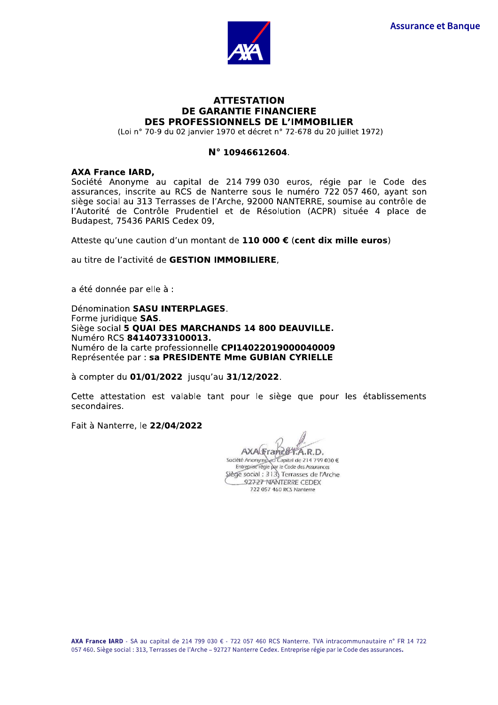

# **ATTESTATION DE GARANTIE FINANCIERE** DES PROFESSIONNELS DE L'IMMOBILIER

(Loi nº 70-9 du 02 janvier 1970 et décret nº 72-678 du 20 juillet 1972)

## N° 10946612604.

#### **AXA France IARD.**

Société Anonyme au capital de 214 799 030 euros, régie par le Code des assurances, inscrite au RCS de Nanterre sous le numéro 722 057 460, ayant son siège social au 313 Terrasses de l'Arche, 92000 NANTERRE, soumise au contrôle de l'Autorité de Contrôle Prudentiel et de Résolution (ACPR) située 4 place de Budapest, 75436 PARIS Cedex 09,

Atteste qu'une caution d'un montant de 110 000 € (cent dix mille euros)

au titre de l'activité de GESTION IMMOBILIERE,

a été donnée par elle à :

Dénomination SASU INTERPLAGES. Forme juridique SAS. Siège social 5 QUAI DES MARCHANDS 14 800 DEAUVILLE. Numéro RCS 84140733100013. Numéro de la carte professionnelle CPI14022019000040009 Représentée par : sa PRESIDENTE Mme GUBIAN CYRIELLE

à compter du 01/01/2022 jusqu'au 31/12/2022.

Cette attestation est valable tant pour le siège que pour les établissements secondaires.

Fait à Nanterre, le 22/04/2022

AXAGraneer.A.R.D.

Société Anonyme au Capital de 214 799 030 € Entreprise régie par le Code des Assurances Siège social : 313) Terrasses de l'Arche 92727 NANTERRE CEDEX 722 057 460 RCS Nanterre